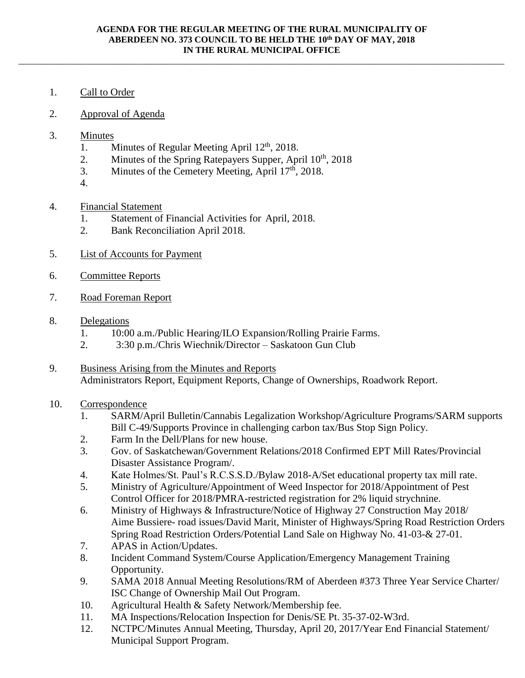\_\_\_\_\_\_\_\_\_\_\_\_\_\_\_\_\_\_\_\_\_\_\_\_\_\_\_\_\_\_\_\_\_\_\_\_\_\_\_\_\_\_\_\_\_\_\_\_\_\_\_\_\_\_\_\_\_\_\_\_\_\_\_\_\_\_\_\_\_\_\_\_\_\_\_\_\_\_\_\_\_\_\_\_\_\_\_\_\_\_\_\_\_\_\_\_\_\_\_\_\_\_\_\_\_\_\_\_

- 1. Call to Order
- 2. Approval of Agenda
- 3. Minutes
	- 1. Minutes of Regular Meeting April 12<sup>th</sup>, 2018.
	- 2. Minutes of the Spring Ratepayers Supper, April  $10^{th}$ , 2018
	- 3. Minutes of the Cemetery Meeting, April  $17<sup>th</sup>$ , 2018.
	- 4.
- 4. Financial Statement
	- 1. Statement of Financial Activities for April, 2018.
	- 2. Bank Reconciliation April 2018.
- 5. List of Accounts for Payment
- 6. Committee Reports
- 7. Road Foreman Report
- 8. Delegations
	- 1. 10:00 a.m./Public Hearing/ILO Expansion/Rolling Prairie Farms.
	- 2. 3:30 p.m./Chris Wiechnik/Director Saskatoon Gun Club
- 9. Business Arising from the Minutes and Reports Administrators Report, Equipment Reports, Change of Ownerships, Roadwork Report.

## 10. Correspondence

- 1. SARM/April Bulletin/Cannabis Legalization Workshop/Agriculture Programs/SARM supports Bill C-49/Supports Province in challenging carbon tax/Bus Stop Sign Policy.
- 2. Farm In the Dell/Plans for new house.
- 3. Gov. of Saskatchewan/Government Relations/2018 Confirmed EPT Mill Rates/Provincial Disaster Assistance Program/.
- 4. Kate Holmes/St. Paul's R.C.S.S.D./Bylaw 2018-A/Set educational property tax mill rate.
- 5. Ministry of Agriculture/Appointment of Weed Inspector for 2018/Appointment of Pest Control Officer for 2018/PMRA-restricted registration for 2% liquid strychnine.
- 6. Ministry of Highways & Infrastructure/Notice of Highway 27 Construction May 2018/ Aime Bussiere- road issues/David Marit, Minister of Highways/Spring Road Restriction Orders Spring Road Restriction Orders/Potential Land Sale on Highway No. 41-03-& 27-01.
- 7. APAS in Action/Updates.
- 8. Incident Command System/Course Application/Emergency Management Training Opportunity.
- 9. SAMA 2018 Annual Meeting Resolutions/RM of Aberdeen #373 Three Year Service Charter/ ISC Change of Ownership Mail Out Program.
- 10. Agricultural Health & Safety Network/Membership fee.
- 11. MA Inspections/Relocation Inspection for Denis/SE Pt. 35-37-02-W3rd.
- 12. NCTPC/Minutes Annual Meeting, Thursday, April 20, 2017/Year End Financial Statement/ Municipal Support Program.